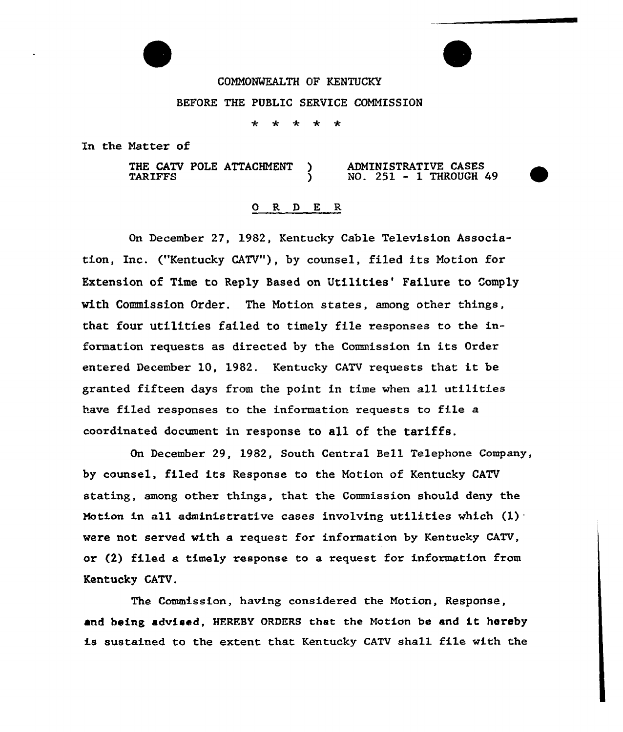COMMONWEALTH OF KENTUCKY

BEFORE THE PUBLIC SERVICE COMMISSION

 $\star$  $\star$  $* * *$ 

In the Natter of

THE CATV POLE ATTACHMENT )<br>TARIFFS ) **TARIFFS** ADMINISTRATIVE CASES NO. 251 — 1 THROUGH 49

## 0 R <sup>D</sup> E R

On December 27, 1982, Kentucky Cable Television Association, Inc. ("Kentucky CATV"), by counsel, filed its Motion for Extension of Time to Reply Based on Utilities' Failure to Comply with Commission Order. The Notion states, among ather things, that four utilities failed to timely file responses to the information requests as directed by the Commission in its Order entered December 10, 1982. Kentucky CATV requests that it be granted fifteen days from the point in time when all utilities have filed responses to the information requests to file a coordinated document in response to all of the tariffs.

On December 29, 1982, South Central Bell Telephone Company, by counsel, filed its Response to the Motion of Kentucky CATV stating, among other things, that the Commission should deny the Motion in all administrative cases involving utilities which  $(1)$ were not served with a request for information by Kentucky CATV, or (2) filed a timely response to a request for information from Kentucky CATV.

The Commission, having considered the Motion, Response, and being advised, HEREBY ORDERS that the Notion be and it hereby is sustained to the extent that Kentucky CATV shall file with the